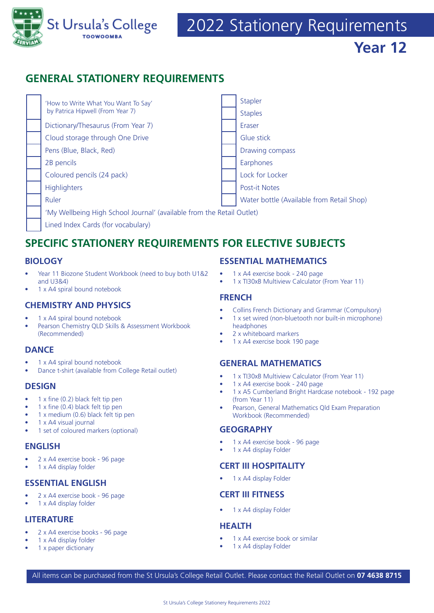

# **GENERAL STATIONERY REQUIREMENTS**



# **SPECIFIC STATIONERY REQUIREMENTS FOR ELECTIVE SUBJECTS**

# **BIOLOGY**

- Year 11 Biozone Student Workbook (need to buy both U1&2 and U3&4)
- 1 x A4 spiral bound notebook

#### **CHEMISTRY AND PHYSICS**

- 1 x A4 spiral bound notebook
- Pearson Chemistry QLD Skills & Assessment Workbook (Recommended)

# **DANCE**

- 1 x A4 spiral bound notebook
- Dance t-shirt (available from College Retail outlet)

#### **DESIGN**

- 1 x fine (0.2) black felt tip pen
- 1 x fine (0.4) black felt tip pen
- 1 x medium (0.6) black felt tip pen
- 1 x A4 visual journal
- 1 set of coloured markers (optional)

# **ENGLISH**

- 2 x A4 exercise book 96 page
- 1 x A4 display folder

#### **ESSENTIAL ENGLISH**

- 2 x A4 exercise book 96 page
- 1 x A4 display folder

#### **LITERATURE**

- 2 x A4 exercise books 96 page
- 1 x A4 display folder
- 1 x paper dictionary

#### **ESSENTIAL MATHEMATICS**

- 1 x A4 exercise book 240 page
- 1 x TI30xB Multiview Calculator (From Year 11)

#### **FRENCH**

- Collins French Dictionary and Grammar (Compulsory)
- 1 x set wired (non-bluetooth nor built-in microphone) headphones
- 2 x whiteboard markers
- 1 x A4 exercise book 190 page

# **GENERAL MATHEMATICS**

- 1 x TI30xB Multiview Calculator (From Year 11)
- 1 x A4 exercise book 240 page
- 1 x A5 Cumberland Bright Hardcase notebook 192 page (from Year 11)
- Pearson, General Mathematics Qld Exam Preparation Workbook (Recommended)

# **GEOGRAPHY**

- 1 x A4 exercise book 96 page
- 1 x A4 display Folder

# **CERT III HOSPITALITY**

• 1 x A4 display Folder

# **CERT III FITNESS**

1 x A4 display Folder

#### **HEALTH**

- 1 x A4 exercise book or similar
- 1 x A4 display Folder

All items can be purchased from the St Ursula's College Retail Outlet. Please contact the Retail Outlet on **07 4638 8715**